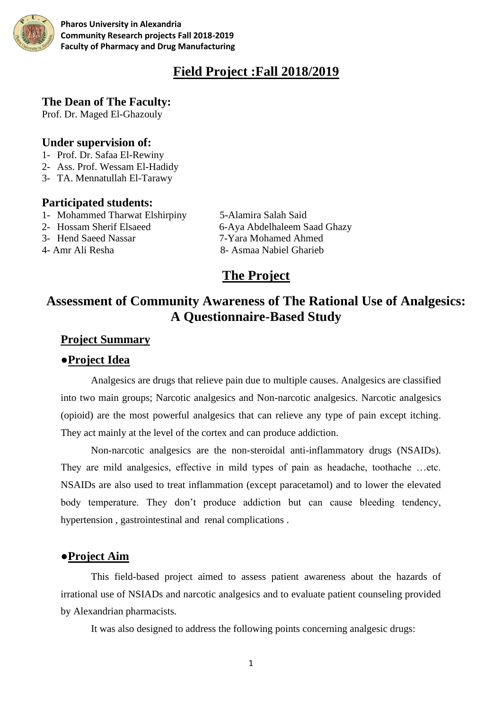

**Pharos University in Alexandria Community Research projects Fall 2018-2019 Faculty of Pharmacy and Drug Manufacturing**

# **Field Project :Fall 2018/2019**

#### **The Dean of The Faculty:**

Prof. Dr. Maged El-Ghazouly

## **Under supervision of:**

- 1- Prof. Dr. Safaa El-Rewiny
- 2- Ass. Prof. Wessam El-Hadidy
- 3- TA. Mennatullah El-Tarawy

#### **Participated students:**

- 1- Mohammed Tharwat Elshirpiny 5-Alamira Salah Said
- 
- 
- 

2- Hossam Sherif Elsaeed 6-Aya Abdelhaleem Saad Ghazy 3- Hend Saeed Nassar 7-Yara Mohamed Ahmed 4- Amr Ali Resha 8- Asmaa Nabiel Gharieb

# **The Project**

# **Assessment of Community Awareness of The Rational Use of Analgesics: A Questionnaire-Based Study**

# **Project Summary**

## **●Project Idea**

Analgesics are drugs that relieve pain due to multiple causes. Analgesics are classified into two main groups; Narcotic analgesics and Non-narcotic analgesics. Narcotic analgesics (opioid) are the most powerful analgesics that can relieve any type of pain except itching. They act mainly at the level of the cortex and can produce addiction.

Non-narcotic analgesics are the non-steroidal anti-inflammatory drugs (NSAIDs). They are mild analgesics, effective in mild types of pain as headache, toothache …etc. NSAIDs are also used to treat inflammation (except paracetamol) and to lower the elevated body temperature. They don't produce addiction but can cause bleeding tendency, hypertension , gastrointestinal and renal complications .

## **●Project Aim**

This field-based project aimed to assess patient awareness about the hazards of irrational use of NSIADs and narcotic analgesics and to evaluate patient counseling provided by Alexandrian pharmacists.

It was also designed to address the following points concerning analgesic drugs: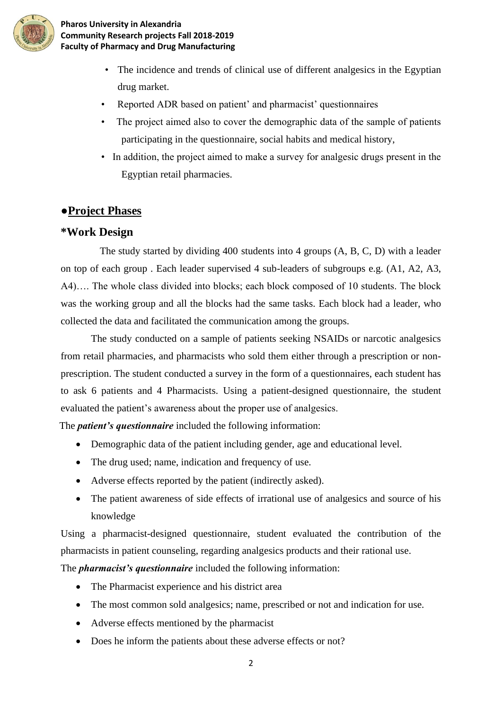

## **Pharos University in Alexandria Community Research projects Fall 2018-2019 Faculty of Pharmacy and Drug Manufacturing**

- The incidence and trends of clinical use of different analgesics in the Egyptian drug market.
- Reported ADR based on patient' and pharmacist' questionnaires
- The project aimed also to cover the demographic data of the sample of patients participating in the questionnaire, social habits and medical history,
- In addition, the project aimed to make a survey for analgesic drugs present in the Egyptian retail pharmacies.

# **●Project Phases**

# **\*Work Design**

 The study started by dividing 400 students into 4 groups (A, B, C, D) with a leader on top of each group . Each leader supervised 4 sub-leaders of subgroups e.g. (A1, A2, A3, A4)…. The whole class divided into blocks; each block composed of 10 students. The block was the working group and all the blocks had the same tasks. Each block had a leader, who collected the data and facilitated the communication among the groups.

The study conducted on a sample of patients seeking NSAIDs or narcotic analgesics from retail pharmacies, and pharmacists who sold them either through a prescription or nonprescription. The student conducted a survey in the form of a questionnaires, each student has to ask 6 patients and 4 Pharmacists. Using a patient-designed questionnaire, the student evaluated the patient's awareness about the proper use of analgesics.

The *patient's questionnaire* included the following information:

- Demographic data of the patient including gender, age and educational level.
- The drug used; name, indication and frequency of use.
- Adverse effects reported by the patient (indirectly asked).
- The patient awareness of side effects of irrational use of analgesics and source of his knowledge

Using a pharmacist-designed questionnaire, student evaluated the contribution of the pharmacists in patient counseling, regarding analgesics products and their rational use.

The *pharmacist's questionnaire* included the following information:

- The Pharmacist experience and his district area
- The most common sold analgesics; name, prescribed or not and indication for use.
- Adverse effects mentioned by the pharmacist
- Does he inform the patients about these adverse effects or not?